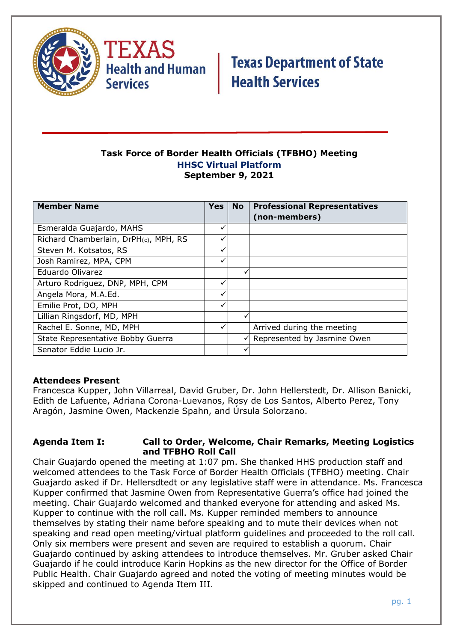

# **Task Force of Border Health Officials (TFBHO) Meeting HHSC Virtual Platform September 9, 2021**

| <b>Member Name</b>                    | <b>Yes</b>   | <b>No</b> | <b>Professional Representatives</b><br>(non-members) |
|---------------------------------------|--------------|-----------|------------------------------------------------------|
| Esmeralda Guajardo, MAHS              | ✓            |           |                                                      |
| Richard Chamberlain, DrPH(c), MPH, RS | ✓            |           |                                                      |
| Steven M. Kotsatos, RS                | ✓            |           |                                                      |
| Josh Ramirez, MPA, CPM                | ✓            |           |                                                      |
| Eduardo Olivarez                      |              |           |                                                      |
| Arturo Rodriguez, DNP, MPH, CPM       | ✓            |           |                                                      |
| Angela Mora, M.A.Ed.                  | ✓            |           |                                                      |
| Emilie Prot, DO, MPH                  | $\checkmark$ |           |                                                      |
| Lillian Ringsdorf, MD, MPH            |              |           |                                                      |
| Rachel E. Sonne, MD, MPH              |              |           | Arrived during the meeting                           |
| State Representative Bobby Guerra     |              | ✓         | Represented by Jasmine Owen                          |
| Senator Eddie Lucio Jr.               |              |           |                                                      |

# **Attendees Present**

Francesca Kupper, John Villarreal, David Gruber, Dr. John Hellerstedt, Dr. Allison Banicki, Edith de Lafuente, Adriana Corona-Luevanos, Rosy de Los Santos, Alberto Perez, Tony Aragón, Jasmine Owen, Mackenzie Spahn, and Úrsula Solorzano.

### **Agenda Item I: Call to Order, Welcome, Chair Remarks, Meeting Logistics and TFBHO Roll Call**

Chair Guajardo opened the meeting at 1:07 pm. She thanked HHS production staff and welcomed attendees to the Task Force of Border Health Officials (TFBHO) meeting. Chair Guajardo asked if Dr. Hellersdtedt or any legislative staff were in attendance. Ms. Francesca Kupper confirmed that Jasmine Owen from Representative Guerra's office had joined the meeting. Chair Guajardo welcomed and thanked everyone for attending and asked Ms. Kupper to continue with the roll call. Ms. Kupper reminded members to announce themselves by stating their name before speaking and to mute their devices when not speaking and read open meeting/virtual platform guidelines and proceeded to the roll call. Only six members were present and seven are required to establish a quorum. Chair Guajardo continued by asking attendees to introduce themselves. Mr. Gruber asked Chair Guajardo if he could introduce Karin Hopkins as the new director for the Office of Border Public Health. Chair Guajardo agreed and noted the voting of meeting minutes would be skipped and continued to Agenda Item III.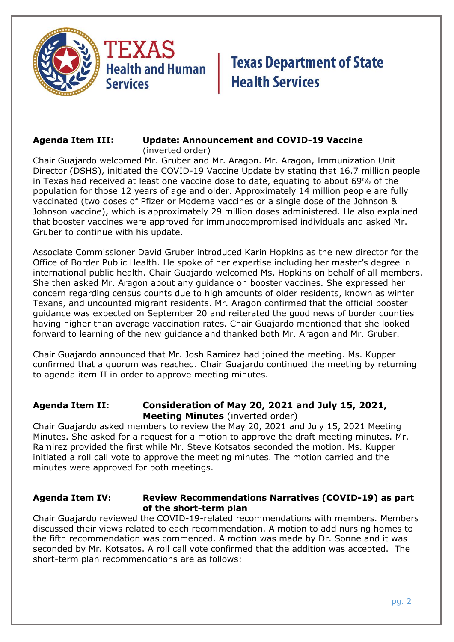



#### **Agenda Item III: Update: Announcement and COVID-19 Vaccine** (inverted order)

Chair Guajardo welcomed Mr. Gruber and Mr. Aragon. Mr. Aragon, Immunization Unit Director (DSHS), initiated the COVID-19 Vaccine Update by stating that 16.7 million people in Texas had received at least one vaccine dose to date, equating to about 69% of the population for those 12 years of age and older. Approximately 14 million people are fully vaccinated (two doses of Pfizer or Moderna vaccines or a single dose of the Johnson & Johnson vaccine), which is approximately 29 million doses administered. He also explained that booster vaccines were approved for immunocompromised individuals and asked Mr. Gruber to continue with his update.

Associate Commissioner David Gruber introduced Karin Hopkins as the new director for the Office of Border Public Health. He spoke of her expertise including her master's degree in international public health. Chair Guajardo welcomed Ms. Hopkins on behalf of all members. She then asked Mr. Aragon about any guidance on booster vaccines. She expressed her concern regarding census counts due to high amounts of older residents, known as winter Texans, and uncounted migrant residents. Mr. Aragon confirmed that the official booster guidance was expected on September 20 and reiterated the good news of border counties having higher than average vaccination rates. Chair Guajardo mentioned that she looked forward to learning of the new guidance and thanked both Mr. Aragon and Mr. Gruber.

Chair Guajardo announced that Mr. Josh Ramirez had joined the meeting. Ms. Kupper confirmed that a quorum was reached. Chair Guajardo continued the meeting by returning to agenda item II in order to approve meeting minutes.

# **Agenda Item II: Consideration of May 20, 2021 and July 15, 2021, Meeting Minutes** (inverted order)

Chair Guajardo asked members to review the May 20, 2021 and July 15, 2021 Meeting Minutes. She asked for a request for a motion to approve the draft meeting minutes. Mr. Ramirez provided the first while Mr. Steve Kotsatos seconded the motion. Ms. Kupper initiated a roll call vote to approve the meeting minutes. The motion carried and the minutes were approved for both meetings.

# **Agenda Item IV: Review Recommendations Narratives (COVID-19) as part of the short-term plan**

Chair Guajardo reviewed the COVID-19-related recommendations with members. Members discussed their views related to each recommendation. A motion to add nursing homes to the fifth recommendation was commenced. A motion was made by Dr. Sonne and it was seconded by Mr. Kotsatos. A roll call vote confirmed that the addition was accepted. The short-term plan recommendations are as follows: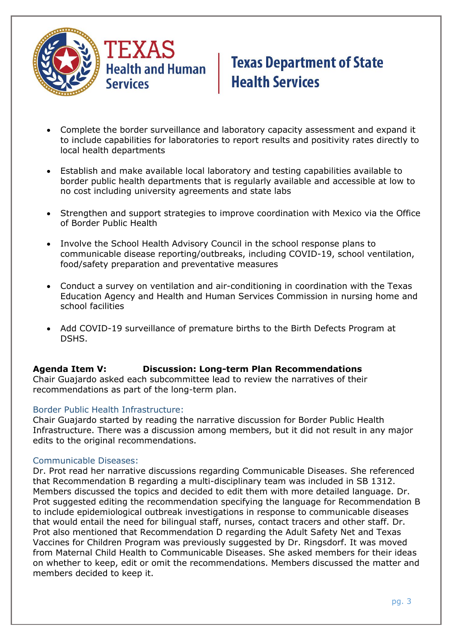

- Complete the border surveillance and laboratory capacity assessment and expand it to include capabilities for laboratories to report results and positivity rates directly to local health departments
- Establish and make available local laboratory and testing capabilities available to border public health departments that is regularly available and accessible at low to no cost including university agreements and state labs
- Strengthen and support strategies to improve coordination with Mexico via the Office of Border Public Health
- Involve the School Health Advisory Council in the school response plans to communicable disease reporting/outbreaks, including COVID-19, school ventilation, food/safety preparation and preventative measures
- Conduct a survey on ventilation and air-conditioning in coordination with the Texas Education Agency and Health and Human Services Commission in nursing home and school facilities
- Add COVID-19 surveillance of premature births to the Birth Defects Program at DSHS.

# **Agenda Item V: Discussion: Long-term Plan Recommendations**

Chair Guajardo asked each subcommittee lead to review the narratives of their recommendations as part of the long-term plan.

#### Border Public Health Infrastructure:

Chair Guajardo started by reading the narrative discussion for Border Public Health Infrastructure. There was a discussion among members, but it did not result in any major edits to the original recommendations.

#### Communicable Diseases:

Dr. Prot read her narrative discussions regarding Communicable Diseases. She referenced that Recommendation B regarding a multi-disciplinary team was included in SB 1312. Members discussed the topics and decided to edit them with more detailed language. Dr. Prot suggested editing the recommendation specifying the language for Recommendation B to include epidemiological outbreak investigations in response to communicable diseases that would entail the need for bilingual staff, nurses, contact tracers and other staff. Dr. Prot also mentioned that Recommendation D regarding the Adult Safety Net and Texas Vaccines for Children Program was previously suggested by Dr. Ringsdorf. It was moved from Maternal Child Health to Communicable Diseases. She asked members for their ideas on whether to keep, edit or omit the recommendations. Members discussed the matter and members decided to keep it.